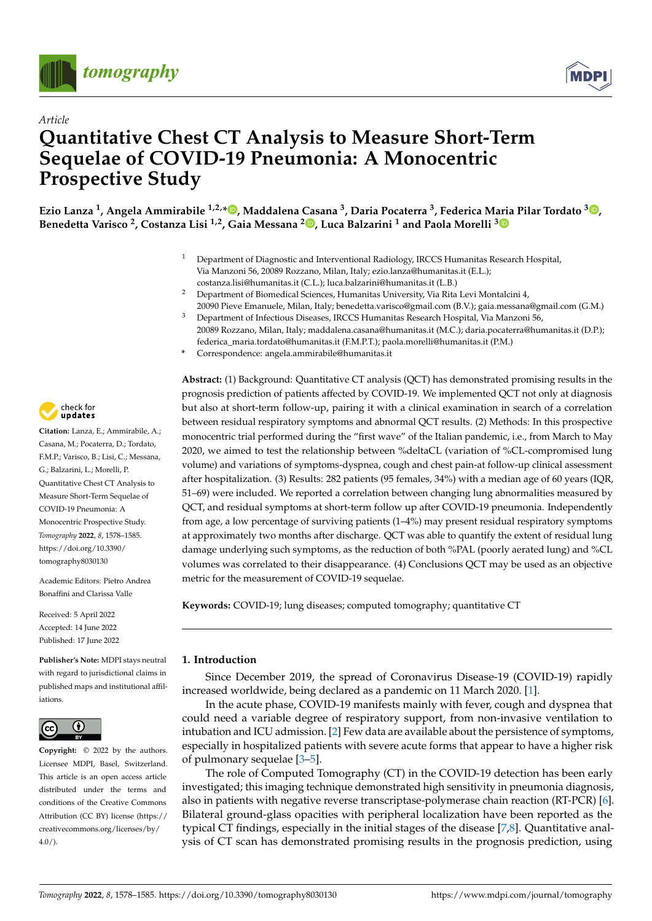



# *Article* **Quantitative Chest CT Analysis to Measure Short-Term Sequelae of COVID-19 Pneumonia: A Monocentric Prospective Study**

**Ezio Lanza <sup>1</sup> , Angela Ammirabile 1,2,\* [,](https://orcid.org/0000-0002-3724-053X) Maddalena Casana <sup>3</sup> , Daria Pocaterra <sup>3</sup> , Federica Maria Pilar Tordato <sup>3</sup> [,](https://orcid.org/0000-0002-6739-6826) Benedetta Varisco <sup>2</sup> , Costanza Lisi 1,2, Gaia Messana <sup>2</sup> [,](https://orcid.org/0000-0002-3212-5305) Luca Balzarini <sup>1</sup> and Paola Morelli [3](https://orcid.org/0000-0001-9555-5284)**

- <sup>1</sup> Department of Diagnostic and Interventional Radiology, IRCCS Humanitas Research Hospital, Via Manzoni 56, 20089 Rozzano, Milan, Italy; ezio.lanza@humanitas.it (E.L.); costanza.lisi@humanitas.it (C.L.); luca.balzarini@humanitas.it (L.B.)
- <sup>2</sup> Department of Biomedical Sciences, Humanitas University, Via Rita Levi Montalcini 4, 20090 Pieve Emanuele, Milan, Italy; benedetta.varisco@gmail.com (B.V.); gaia.messana@gmail.com (G.M.)
- <sup>3</sup> Department of Infectious Diseases, IRCCS Humanitas Research Hospital, Via Manzoni 56, 20089 Rozzano, Milan, Italy; maddalena.casana@humanitas.it (M.C.); daria.pocaterra@humanitas.it (D.P.); federica\_maria.tordato@humanitas.it (F.M.P.T.); paola.morelli@humanitas.it (P.M.)
- **\*** Correspondence: angela.ammirabile@humanitas.it

**Abstract:** (1) Background: Quantitative CT analysis (QCT) has demonstrated promising results in the prognosis prediction of patients affected by COVID-19. We implemented QCT not only at diagnosis but also at short-term follow-up, pairing it with a clinical examination in search of a correlation between residual respiratory symptoms and abnormal QCT results. (2) Methods: In this prospective monocentric trial performed during the "first wave" of the Italian pandemic, i.e., from March to May 2020, we aimed to test the relationship between %deltaCL (variation of %CL-compromised lung volume) and variations of symptoms-dyspnea, cough and chest pain-at follow-up clinical assessment after hospitalization. (3) Results: 282 patients (95 females, 34%) with a median age of 60 years (IQR, 51–69) were included. We reported a correlation between changing lung abnormalities measured by QCT, and residual symptoms at short-term follow up after COVID-19 pneumonia. Independently from age, a low percentage of surviving patients (1–4%) may present residual respiratory symptoms at approximately two months after discharge. QCT was able to quantify the extent of residual lung damage underlying such symptoms, as the reduction of both %PAL (poorly aerated lung) and %CL volumes was correlated to their disappearance. (4) Conclusions QCT may be used as an objective metric for the measurement of COVID-19 sequelae.

**Keywords:** COVID-19; lung diseases; computed tomography; quantitative CT

## **1. Introduction**

Since December 2019, the spread of Coronavirus Disease-19 (COVID-19) rapidly increased worldwide, being declared as a pandemic on 11 March 2020. [\[1\]](#page-6-0).

In the acute phase, COVID-19 manifests mainly with fever, cough and dyspnea that could need a variable degree of respiratory support, from non-invasive ventilation to intubation and ICU admission. [\[2\]](#page-6-1) Few data are available about the persistence of symptoms, especially in hospitalized patients with severe acute forms that appear to have a higher risk of pulmonary sequelae [\[3](#page-6-2)[–5\]](#page-6-3).

The role of Computed Tomography (CT) in the COVID-19 detection has been early investigated; this imaging technique demonstrated high sensitivity in pneumonia diagnosis, also in patients with negative reverse transcriptase-polymerase chain reaction (RT-PCR) [\[6\]](#page-6-4). Bilateral ground-glass opacities with peripheral localization have been reported as the typical CT findings, especially in the initial stages of the disease  $[7,8]$  $[7,8]$ . Quantitative analysis of CT scan has demonstrated promising results in the prognosis prediction, using



**Citation:** Lanza, E.; Ammirabile, A.; Casana, M.; Pocaterra, D.; Tordato, F.M.P.; Varisco, B.; Lisi, C.; Messana, G.; Balzarini, L.; Morelli, P. Quantitative Chest CT Analysis to Measure Short-Term Sequelae of COVID-19 Pneumonia: A Monocentric Prospective Study. *Tomography* **2022**, *8*, 1578–1585. [https://doi.org/10.3390/](https://doi.org/10.3390/tomography8030130) [tomography8030130](https://doi.org/10.3390/tomography8030130)

Academic Editors: Pietro Andrea Bonaffini and Clarissa Valle

Received: 5 April 2022 Accepted: 14 June 2022 Published: 17 June 2022

**Publisher's Note:** MDPI stays neutral with regard to jurisdictional claims in published maps and institutional affiliations.



**Copyright:** © 2022 by the authors. Licensee MDPI, Basel, Switzerland. This article is an open access article distributed under the terms and conditions of the Creative Commons Attribution (CC BY) license [\(https://](https://creativecommons.org/licenses/by/4.0/) [creativecommons.org/licenses/by/](https://creativecommons.org/licenses/by/4.0/)  $4.0/$ ).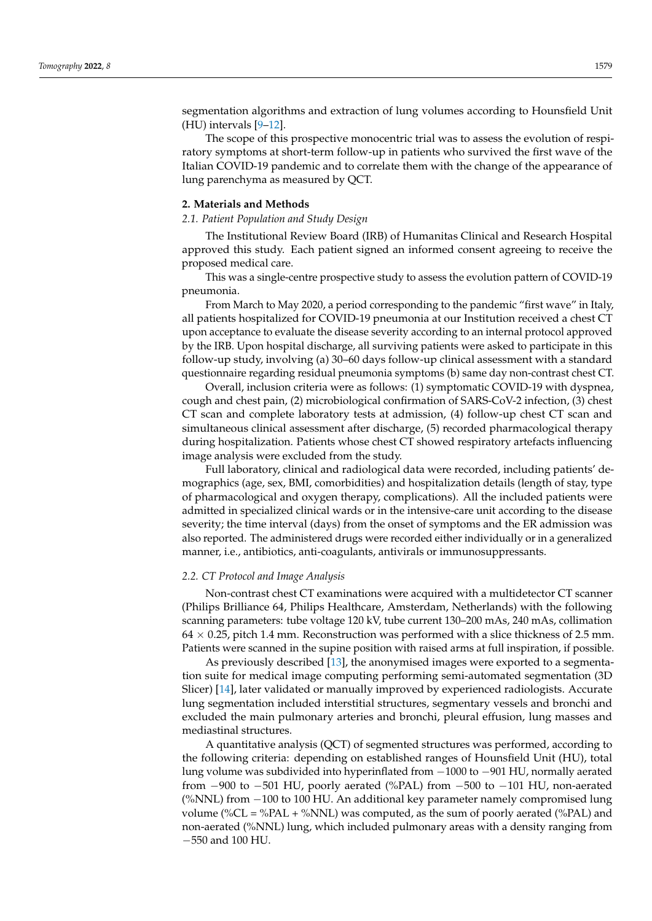segmentation algorithms and extraction of lung volumes according to Hounsfield Unit  $(HU)$  intervals  $[9-12]$  $[9-12]$ .

The scope of this prospective monocentric trial was to assess the evolution of respiratory symptoms at short-term follow-up in patients who survived the first wave of the Italian COVID-19 pandemic and to correlate them with the change of the appearance of lung parenchyma as measured by QCT.

#### **2. Materials and Methods**

#### *2.1. Patient Population and Study Design*

The Institutional Review Board (IRB) of Humanitas Clinical and Research Hospital approved this study. Each patient signed an informed consent agreeing to receive the proposed medical care.

This was a single-centre prospective study to assess the evolution pattern of COVID-19 pneumonia.

From March to May 2020, a period corresponding to the pandemic "first wave" in Italy, all patients hospitalized for COVID-19 pneumonia at our Institution received a chest CT upon acceptance to evaluate the disease severity according to an internal protocol approved by the IRB. Upon hospital discharge, all surviving patients were asked to participate in this follow-up study, involving (a) 30–60 days follow-up clinical assessment with a standard questionnaire regarding residual pneumonia symptoms (b) same day non-contrast chest CT.

Overall, inclusion criteria were as follows: (1) symptomatic COVID-19 with dyspnea, cough and chest pain, (2) microbiological confirmation of SARS-CoV-2 infection, (3) chest CT scan and complete laboratory tests at admission, (4) follow-up chest CT scan and simultaneous clinical assessment after discharge, (5) recorded pharmacological therapy during hospitalization. Patients whose chest CT showed respiratory artefacts influencing image analysis were excluded from the study.

Full laboratory, clinical and radiological data were recorded, including patients' demographics (age, sex, BMI, comorbidities) and hospitalization details (length of stay, type of pharmacological and oxygen therapy, complications). All the included patients were admitted in specialized clinical wards or in the intensive-care unit according to the disease severity; the time interval (days) from the onset of symptoms and the ER admission was also reported. The administered drugs were recorded either individually or in a generalized manner, i.e., antibiotics, anti-coagulants, antivirals or immunosuppressants.

#### *2.2. CT Protocol and Image Analysis*

Non-contrast chest CT examinations were acquired with a multidetector CT scanner (Philips Brilliance 64, Philips Healthcare, Amsterdam, Netherlands) with the following scanning parameters: tube voltage 120 kV, tube current 130–200 mAs, 240 mAs, collimation  $64 \times 0.25$ , pitch 1.4 mm. Reconstruction was performed with a slice thickness of 2.5 mm. Patients were scanned in the supine position with raised arms at full inspiration, if possible.

As previously described [\[13\]](#page-6-9), the anonymised images were exported to a segmentation suite for medical image computing performing semi-automated segmentation (3D Slicer) [\[14\]](#page-6-10), later validated or manually improved by experienced radiologists. Accurate lung segmentation included interstitial structures, segmentary vessels and bronchi and excluded the main pulmonary arteries and bronchi, pleural effusion, lung masses and mediastinal structures.

A quantitative analysis (QCT) of segmented structures was performed, according to the following criteria: depending on established ranges of Hounsfield Unit (HU), total lung volume was subdivided into hyperinflated from −1000 to −901 HU, normally aerated from −900 to −501 HU, poorly aerated (%PAL) from −500 to −101 HU, non-aerated (%NNL) from −100 to 100 HU. An additional key parameter namely compromised lung volume (% $CL = \%PAL + \%NNL$ ) was computed, as the sum of poorly aerated (%PAL) and non-aerated (%NNL) lung, which included pulmonary areas with a density ranging from −550 and 100 HU.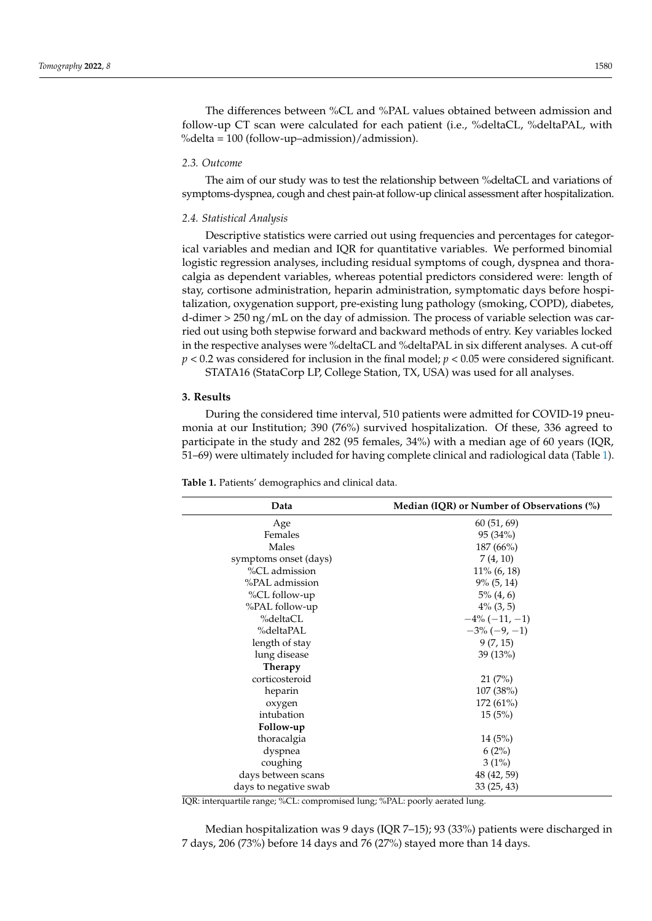The differences between %CL and %PAL values obtained between admission and follow-up CT scan were calculated for each patient (i.e., %deltaCL, %deltaPAL, with %delta = 100 (follow-up–admission)/admission).

## *2.3. Outcome*

The aim of our study was to test the relationship between %deltaCL and variations of symptoms-dyspnea, cough and chest pain-at follow-up clinical assessment after hospitalization.

#### *2.4. Statistical Analysis*

Descriptive statistics were carried out using frequencies and percentages for categorical variables and median and IQR for quantitative variables. We performed binomial logistic regression analyses, including residual symptoms of cough, dyspnea and thoracalgia as dependent variables, whereas potential predictors considered were: length of stay, cortisone administration, heparin administration, symptomatic days before hospitalization, oxygenation support, pre-existing lung pathology (smoking, COPD), diabetes, d-dimer > 250 ng/mL on the day of admission. The process of variable selection was carried out using both stepwise forward and backward methods of entry. Key variables locked in the respective analyses were %deltaCL and %deltaPAL in six different analyses. A cut-off *p* < 0.2 was considered for inclusion in the final model; *p* < 0.05 were considered significant.

STATA16 (StataCorp LP, College Station, TX, USA) was used for all analyses.

## **3. Results**

During the considered time interval, 510 patients were admitted for COVID-19 pneumonia at our Institution; 390 (76%) survived hospitalization. Of these, 336 agreed to participate in the study and 282 (95 females, 34%) with a median age of 60 years (IQR, 51–69) were ultimately included for having complete clinical and radiological data (Table [1\)](#page-2-0).

| Median (IQR) or Number of Observations $(\%)$ |  |  |
|-----------------------------------------------|--|--|
| 60(51, 69)                                    |  |  |
| 95(34%)                                       |  |  |
| 187 (66%)                                     |  |  |
| 7(4, 10)                                      |  |  |
| $11\%$ (6, 18)                                |  |  |
| $9\%$ (5, 14)                                 |  |  |
| $5\%$ $(4, 6)$                                |  |  |
| $4\%$ (3, 5)                                  |  |  |
| $-4\%(-11,-1)$                                |  |  |
| $-3\%(-9, -1)$                                |  |  |
| 9(7, 15)                                      |  |  |
| 39 (13%)                                      |  |  |
|                                               |  |  |
| 21(7%)                                        |  |  |
| 107(38%)                                      |  |  |
| $172(61\%)$                                   |  |  |
| 15(5%)                                        |  |  |
|                                               |  |  |
| 14(5%)                                        |  |  |
| 6(2%)                                         |  |  |
| 3(1%)                                         |  |  |
| 48 (42, 59)                                   |  |  |
| 33(25, 43)                                    |  |  |
|                                               |  |  |

<span id="page-2-0"></span>**Table 1.** Patients' demographics and clinical data.

IQR: interquartile range; %CL: compromised lung; %PAL: poorly aerated lung.

Median hospitalization was 9 days (IQR 7–15); 93 (33%) patients were discharged in 7 days, 206 (73%) before 14 days and 76 (27%) stayed more than 14 days.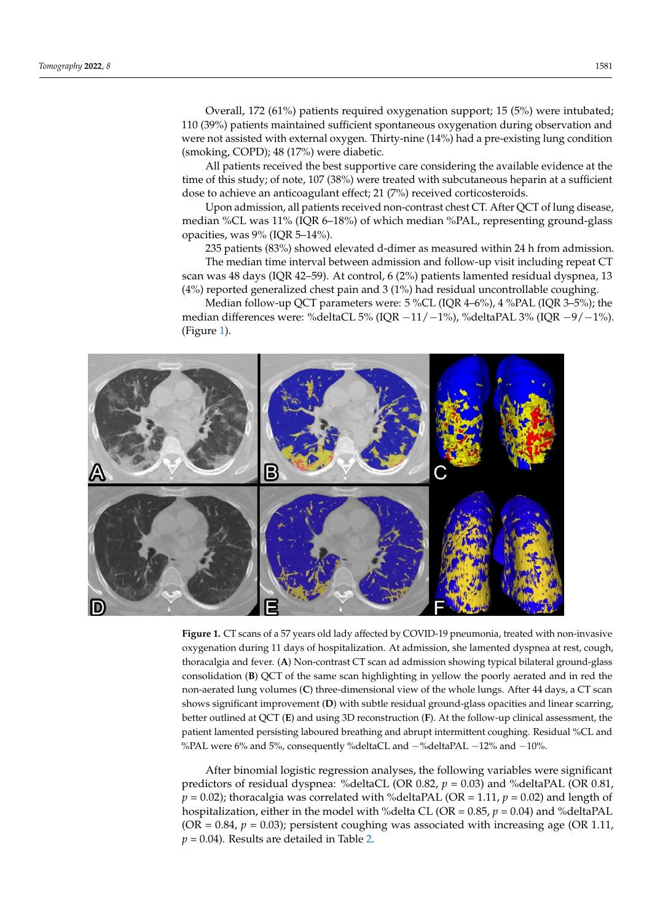Overall, 172 (61%) patients required oxygenation support; 15 (5%) were intubated; 110 (39%) patients maintained sufficient spontaneous oxygenation during observation and no (b) b) patients manufative samelem spontaneous oxygenation during observation and write the best supportive considering the support of the best supportive considering the supportive considering the available evidence at  $\frac{1}{2}$  (smoking, COPD); 48 (17%) were diabetic. and were not assisted with external oxygen. Thirty-nine (14%) had a pre-existing lung coverant, 172 (0176) patients required oxygenation

All patients received the best supportive care considering the available evidence at the time of this study; of note, 107 (38%) were treated with subcutaneous heparin at a sufficient dose to achieve an anticoagulant effect; 21 (7%) received corticosteroids.

Upon admission, all patients received non-contrast chest CT. After QCT of lung disease, median %CL was 11% (IQR 6–18%) of which median %PAL, representing ground-glass opacities, was 9% (IQR 5–14%).

235 patients (83%) showed elevated d-dimer as measured within 24 h from admission.

The median time interval between admission and follow-up visit including repeat CT The median time interval between admission and follow-up visit including repeat scan was 48 days (IQR 42–59). At control, 6 (2%) patients lamented residual dyspnea, 13 (4%) reported generalized chest pain and 3 (1%) had residual uncontrollable coughing. 13 (4%) reported generalized chest pain and 3 (1%) had residual uncontrollable coughing.

<span id="page-3-0"></span>Median follow-up QCT parameters were: 5 %CL (IQR 4–6%), 4 %PAL (IQR 3–5%); the Median follow-up QCT parameters were: 5 %CL (IQR 4–6%), 4 %PAL (IQR 3–5%); median differences were: %deltaCL 5% (IQR −11/−1%), %deltaPAL 3% (IQR −9/−1%). the median differences were: %deltaCL 5% (IQR −11/−1%), %deltaPAL 3% (IQR −9/−1%). (Figure [1\)](#page-3-0). (Figure 1).



Figure 1. CT scans of a 57 years old lady affected by COVID-19 pneumonia, treated with non-invasive sive oxygenation during 11 days of hospitalization. At admission, she lamented dyspnea at rest, oxygenation during 11 days of hospitalization. At admission, she lamented dyspnea at rest, cough, thoracalgia and fever. (A) Non-contrast CT scan ad admission showing typical bilateral ground-glass consolidation (B) QCT of the same scan highlighting in yellow the poorly aerated and in red the non-aerated lung volumes (C) three-dimensional view of the whole lungs. After 44 days, a CT scan shows significant improvement (D) with subtle residual ground-glass opacities and linear scarring, better outlined at QCT (**E**) and using 3D reconstruction (**F**). At the follow-up clinical assessment, the patient lamented persisting laboured breathing and abrupt intermittent coughing. Residual %CL and %PAL were 6% and 5%, consequently %deltaCL and −%deltaPAL −12% and −10%.

After binomial logistic regression analyses, the following variables were significant predictors of residual dyspnea: %deltaCL (OR 0.82, *p* = 0.03) and %deltaPAL (OR 0.81,  $p = 0.02$ ); thoracalgia was correlated with %deltaPAL (OR = 1.11,  $p = 0.02$ ) and length of hospitalization, either in the model with %delta CL (OR =  $0.85$ ,  $p = 0.04$ ) and %deltaPAL  $(OR = 0.84, p = 0.03)$ ; persistent coughing was associated with increasing age (OR 1.11,  $p = 0.04$ ). Results are detailed in Table [2.](#page-4-0)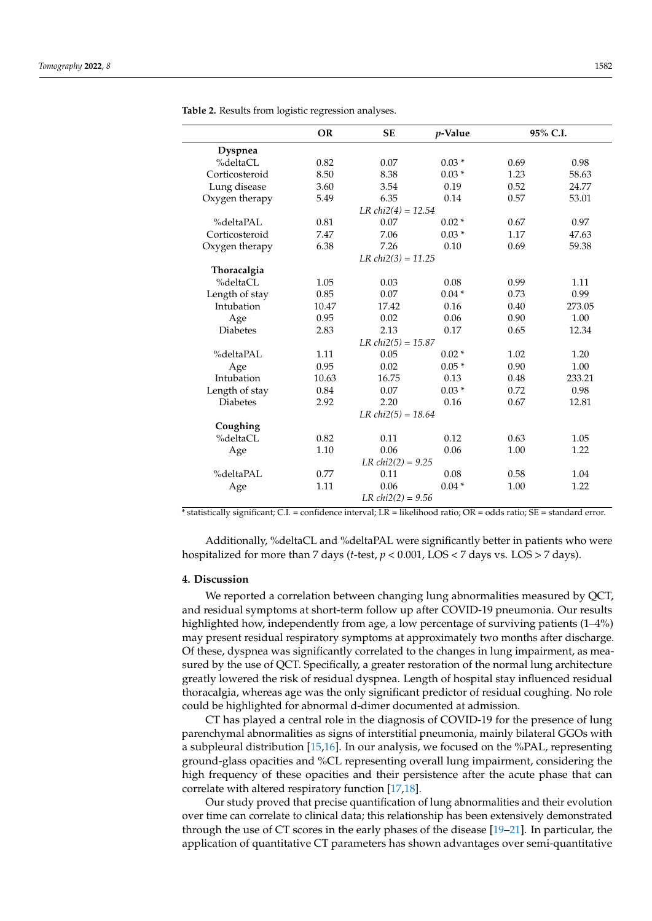|                      | <b>OR</b> | <b>SE</b> | $p$ -Value | 95% C.I. |        |  |
|----------------------|-----------|-----------|------------|----------|--------|--|
| <b>Dyspnea</b>       |           |           |            |          |        |  |
| %deltaCL             | 0.82      | 0.07      | $0.03*$    | 0.69     | 0.98   |  |
| Corticosteroid       | 8.50      | 8.38      | $0.03*$    | 1.23     | 58.63  |  |
| Lung disease         | 3.60      | 3.54      | 0.19       | 0.52     | 24.77  |  |
| Oxygen therapy       | 5.49      | 6.35      | 0.14       | 0.57     | 53.01  |  |
| $LR chi2(4) = 12.54$ |           |           |            |          |        |  |
| %deltaPAL            | 0.81      | 0.07      | $0.02*$    | 0.67     | 0.97   |  |
| Corticosteroid       | 7.47      | 7.06      | $0.03*$    | 1.17     | 47.63  |  |
| Oxygen therapy       | 6.38      | 7.26      | 0.10       | 0.69     | 59.38  |  |
| $LR chi2(3) = 11.25$ |           |           |            |          |        |  |
| Thoracalgia          |           |           |            |          |        |  |
| %deltaCL             | 1.05      | 0.03      | 0.08       | 0.99     | 1.11   |  |
| Length of stay       | 0.85      | 0.07      | $0.04*$    | 0.73     | 0.99   |  |
| Intubation           | 10.47     | 17.42     | 0.16       | 0.40     | 273.05 |  |
| Age                  | 0.95      | 0.02      | 0.06       | 0.90     | 1.00   |  |
| <b>Diabetes</b>      | 2.83      | 2.13      | 0.17       | 0.65     | 12.34  |  |
| $LR chi2(5) = 15.87$ |           |           |            |          |        |  |
| %deltaPAL            | 1.11      | 0.05      | $0.02*$    | 1.02     | 1.20   |  |
| Age                  | 0.95      | 0.02      | $0.05*$    | 0.90     | 1.00   |  |
| Intubation           | 10.63     | 16.75     | 0.13       | 0.48     | 233.21 |  |
| Length of stay       | 0.84      | 0.07      | $0.03*$    | 0.72     | 0.98   |  |
| <b>Diabetes</b>      | 2.92      | 2.20      | 0.16       | 0.67     | 12.81  |  |
| $LR chi2(5) = 18.64$ |           |           |            |          |        |  |
| Coughing             |           |           |            |          |        |  |
| %deltaCL             | 0.82      | 0.11      | 0.12       | 0.63     | 1.05   |  |
| Age                  | 1.10      | 0.06      | 0.06       | 1.00     | 1.22   |  |
| $LR chi2(2) = 9.25$  |           |           |            |          |        |  |
| %deltaPAL            | 0.77      | 0.11      | 0.08       | 0.58     | 1.04   |  |
| Age                  | 1.11      | 0.06      | $0.04*$    | 1.00     | 1.22   |  |
| $LR chi2(2) = 9.56$  |           |           |            |          |        |  |

<span id="page-4-0"></span>**Table 2.** Results from logistic regression analyses.

\* statistically significant; C.I. = confidence interval; LR = likelihood ratio; OR = odds ratio; SE = standard error.

Additionally, %deltaCL and %deltaPAL were significantly better in patients who were hospitalized for more than 7 days (*t*-test, *p* < 0.001, LOS < 7 days vs. LOS > 7 days).

## **4. Discussion**

We reported a correlation between changing lung abnormalities measured by QCT, and residual symptoms at short-term follow up after COVID-19 pneumonia. Our results highlighted how, independently from age, a low percentage of surviving patients (1–4%) may present residual respiratory symptoms at approximately two months after discharge. Of these, dyspnea was significantly correlated to the changes in lung impairment, as measured by the use of QCT. Specifically, a greater restoration of the normal lung architecture greatly lowered the risk of residual dyspnea. Length of hospital stay influenced residual thoracalgia, whereas age was the only significant predictor of residual coughing. No role could be highlighted for abnormal d-dimer documented at admission.

CT has played a central role in the diagnosis of COVID-19 for the presence of lung parenchymal abnormalities as signs of interstitial pneumonia, mainly bilateral GGOs with a subpleural distribution [\[15,](#page-6-11)[16\]](#page-6-12). In our analysis, we focused on the %PAL, representing ground-glass opacities and %CL representing overall lung impairment, considering the high frequency of these opacities and their persistence after the acute phase that can correlate with altered respiratory function [\[17](#page-6-13)[,18\]](#page-6-14).

Our study proved that precise quantification of lung abnormalities and their evolution over time can correlate to clinical data; this relationship has been extensively demonstrated through the use of CT scores in the early phases of the disease [\[19](#page-6-15)[–21\]](#page-6-16). In particular, the application of quantitative CT parameters has shown advantages over semi-quantitative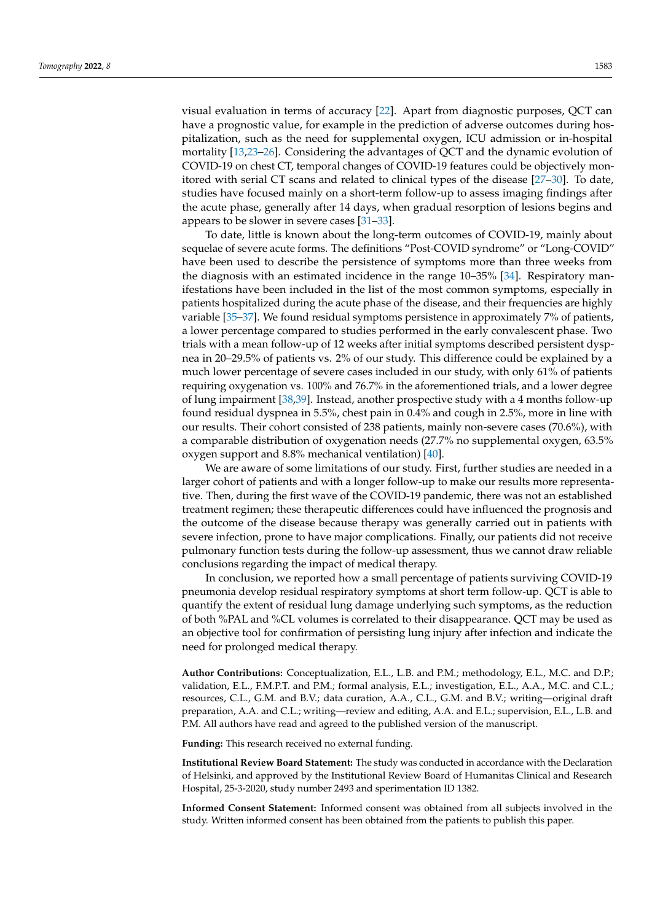visual evaluation in terms of accuracy [\[22\]](#page-7-0). Apart from diagnostic purposes, QCT can have a prognostic value, for example in the prediction of adverse outcomes during hospitalization, such as the need for supplemental oxygen, ICU admission or in-hospital mortality [\[13,](#page-6-9)[23–](#page-7-1)[26\]](#page-7-2). Considering the advantages of QCT and the dynamic evolution of COVID-19 on chest CT, temporal changes of COVID-19 features could be objectively monitored with serial CT scans and related to clinical types of the disease [\[27–](#page-7-3)[30\]](#page-7-4). To date, studies have focused mainly on a short-term follow-up to assess imaging findings after the acute phase, generally after 14 days, when gradual resorption of lesions begins and appears to be slower in severe cases [\[31–](#page-7-5)[33\]](#page-7-6).

To date, little is known about the long-term outcomes of COVID-19, mainly about sequelae of severe acute forms. The definitions "Post-COVID syndrome" or "Long-COVID" have been used to describe the persistence of symptoms more than three weeks from the diagnosis with an estimated incidence in the range 10–35% [\[34\]](#page-7-7). Respiratory manifestations have been included in the list of the most common symptoms, especially in patients hospitalized during the acute phase of the disease, and their frequencies are highly variable [\[35–](#page-7-8)[37\]](#page-7-9). We found residual symptoms persistence in approximately 7% of patients, a lower percentage compared to studies performed in the early convalescent phase. Two trials with a mean follow-up of 12 weeks after initial symptoms described persistent dyspnea in 20–29.5% of patients vs. 2% of our study. This difference could be explained by a much lower percentage of severe cases included in our study, with only 61% of patients requiring oxygenation vs. 100% and 76.7% in the aforementioned trials, and a lower degree of lung impairment [\[38,](#page-7-10)[39\]](#page-7-11). Instead, another prospective study with a 4 months follow-up found residual dyspnea in 5.5%, chest pain in 0.4% and cough in 2.5%, more in line with our results. Their cohort consisted of 238 patients, mainly non-severe cases (70.6%), with a comparable distribution of oxygenation needs (27.7% no supplemental oxygen, 63.5% oxygen support and 8.8% mechanical ventilation) [\[40\]](#page-7-12).

We are aware of some limitations of our study. First, further studies are needed in a larger cohort of patients and with a longer follow-up to make our results more representative. Then, during the first wave of the COVID-19 pandemic, there was not an established treatment regimen; these therapeutic differences could have influenced the prognosis and the outcome of the disease because therapy was generally carried out in patients with severe infection, prone to have major complications. Finally, our patients did not receive pulmonary function tests during the follow-up assessment, thus we cannot draw reliable conclusions regarding the impact of medical therapy.

In conclusion, we reported how a small percentage of patients surviving COVID-19 pneumonia develop residual respiratory symptoms at short term follow-up. QCT is able to quantify the extent of residual lung damage underlying such symptoms, as the reduction of both %PAL and %CL volumes is correlated to their disappearance. QCT may be used as an objective tool for confirmation of persisting lung injury after infection and indicate the need for prolonged medical therapy.

**Author Contributions:** Conceptualization, E.L., L.B. and P.M.; methodology, E.L., M.C. and D.P.; validation, E.L., F.M.P.T. and P.M.; formal analysis, E.L.; investigation, E.L., A.A., M.C. and C.L.; resources, C.L., G.M. and B.V.; data curation, A.A., C.L., G.M. and B.V.; writing—original draft preparation, A.A. and C.L.; writing—review and editing, A.A. and E.L.; supervision, E.L., L.B. and P.M. All authors have read and agreed to the published version of the manuscript.

**Funding:** This research received no external funding.

**Institutional Review Board Statement:** The study was conducted in accordance with the Declaration of Helsinki, and approved by the Institutional Review Board of Humanitas Clinical and Research Hospital, 25-3-2020, study number 2493 and sperimentation ID 1382.

**Informed Consent Statement:** Informed consent was obtained from all subjects involved in the study. Written informed consent has been obtained from the patients to publish this paper.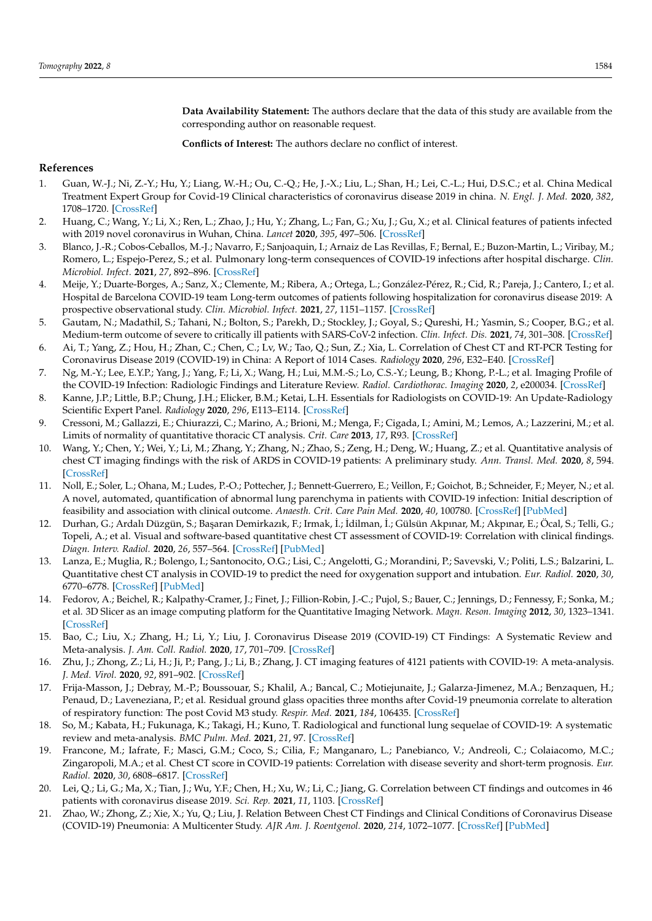**Data Availability Statement:** The authors declare that the data of this study are available from the corresponding author on reasonable request.

**Conflicts of Interest:** The authors declare no conflict of interest.

## **References**

- <span id="page-6-0"></span>1. Guan, W.-J.; Ni, Z.-Y.; Hu, Y.; Liang, W.-H.; Ou, C.-Q.; He, J.-X.; Liu, L.; Shan, H.; Lei, C.-L.; Hui, D.S.C.; et al. China Medical Treatment Expert Group for Covid-19 Clinical characteristics of coronavirus disease 2019 in china. *N. Engl. J. Med.* **2020**, *382*, 1708–1720. [\[CrossRef\]](http://doi.org/10.1056/NEJMoa2002032)
- <span id="page-6-1"></span>2. Huang, C.; Wang, Y.; Li, X.; Ren, L.; Zhao, J.; Hu, Y.; Zhang, L.; Fan, G.; Xu, J.; Gu, X.; et al. Clinical features of patients infected with 2019 novel coronavirus in Wuhan, China. *Lancet* **2020**, *395*, 497–506. [\[CrossRef\]](http://doi.org/10.1016/S0140-6736(20)30183-5)
- <span id="page-6-2"></span>3. Blanco, J.-R.; Cobos-Ceballos, M.-J.; Navarro, F.; Sanjoaquin, I.; Arnaiz de Las Revillas, F.; Bernal, E.; Buzon-Martin, L.; Viribay, M.; Romero, L.; Espejo-Perez, S.; et al. Pulmonary long-term consequences of COVID-19 infections after hospital discharge. *Clin. Microbiol. Infect.* **2021**, *27*, 892–896. [\[CrossRef\]](http://doi.org/10.1016/j.cmi.2021.02.019)
- 4. Meije, Y.; Duarte-Borges, A.; Sanz, X.; Clemente, M.; Ribera, A.; Ortega, L.; González-Pérez, R.; Cid, R.; Pareja, J.; Cantero, I.; et al. Hospital de Barcelona COVID-19 team Long-term outcomes of patients following hospitalization for coronavirus disease 2019: A prospective observational study. *Clin. Microbiol. Infect.* **2021**, *27*, 1151–1157. [\[CrossRef\]](http://doi.org/10.1016/j.cmi.2021.04.002)
- <span id="page-6-3"></span>5. Gautam, N.; Madathil, S.; Tahani, N.; Bolton, S.; Parekh, D.; Stockley, J.; Goyal, S.; Qureshi, H.; Yasmin, S.; Cooper, B.G.; et al. Medium-term outcome of severe to critically ill patients with SARS-CoV-2 infection. *Clin. Infect. Dis.* **2021**, *74*, 301–308. [\[CrossRef\]](http://doi.org/10.1093/cid/ciab341)
- <span id="page-6-4"></span>6. Ai, T.; Yang, Z.; Hou, H.; Zhan, C.; Chen, C.; Lv, W.; Tao, Q.; Sun, Z.; Xia, L. Correlation of Chest CT and RT-PCR Testing for Coronavirus Disease 2019 (COVID-19) in China: A Report of 1014 Cases. *Radiology* **2020**, *296*, E32–E40. [\[CrossRef\]](http://doi.org/10.1148/radiol.2020200642)
- <span id="page-6-5"></span>7. Ng, M.-Y.; Lee, E.Y.P.; Yang, J.; Yang, F.; Li, X.; Wang, H.; Lui, M.M.-S.; Lo, C.S.-Y.; Leung, B.; Khong, P.-L.; et al. Imaging Profile of the COVID-19 Infection: Radiologic Findings and Literature Review. *Radiol. Cardiothorac. Imaging* **2020**, *2*, e200034. [\[CrossRef\]](http://doi.org/10.1148/ryct.2020200034)
- <span id="page-6-6"></span>8. Kanne, J.P.; Little, B.P.; Chung, J.H.; Elicker, B.M.; Ketai, L.H. Essentials for Radiologists on COVID-19: An Update-Radiology Scientific Expert Panel. *Radiology* **2020**, *296*, E113–E114. [\[CrossRef\]](http://doi.org/10.1148/radiol.2020200527)
- <span id="page-6-7"></span>9. Cressoni, M.; Gallazzi, E.; Chiurazzi, C.; Marino, A.; Brioni, M.; Menga, F.; Cigada, I.; Amini, M.; Lemos, A.; Lazzerini, M.; et al. Limits of normality of quantitative thoracic CT analysis. *Crit. Care* **2013**, *17*, R93. [\[CrossRef\]](http://doi.org/10.1186/cc12738)
- 10. Wang, Y.; Chen, Y.; Wei, Y.; Li, M.; Zhang, Y.; Zhang, N.; Zhao, S.; Zeng, H.; Deng, W.; Huang, Z.; et al. Quantitative analysis of chest CT imaging findings with the risk of ARDS in COVID-19 patients: A preliminary study. *Ann. Transl. Med.* **2020**, *8*, 594. [\[CrossRef\]](http://doi.org/10.21037/atm-20-3554)
- 11. Noll, E.; Soler, L.; Ohana, M.; Ludes, P.-O.; Pottecher, J.; Bennett-Guerrero, E.; Veillon, F.; Goichot, B.; Schneider, F.; Meyer, N.; et al. A novel, automated, quantification of abnormal lung parenchyma in patients with COVID-19 infection: Initial description of feasibility and association with clinical outcome. *Anaesth. Crit. Care Pain Med.* **2020**, *40*, 100780. [\[CrossRef\]](http://doi.org/10.1016/j.accpm.2020.10.014) [\[PubMed\]](http://www.ncbi.nlm.nih.gov/pubmed/33197638)
- <span id="page-6-8"></span>12. Durhan, G.; Ardalı Düzgün, S.; Ba¸saran Demirkazık, F.; Irmak, ˙I.; ˙Idilman, ˙I.; Gülsün Akpınar, M.; Akpınar, E.; Öcal, S.; Telli, G.; Topeli, A.; et al. Visual and software-based quantitative chest CT assessment of COVID-19: Correlation with clinical findings. *Diagn. Interv. Radiol.* **2020**, *26*, 557–564. [\[CrossRef\]](http://doi.org/10.5152/dir.2020.20407) [\[PubMed\]](http://www.ncbi.nlm.nih.gov/pubmed/32876569)
- <span id="page-6-9"></span>13. Lanza, E.; Muglia, R.; Bolengo, I.; Santonocito, O.G.; Lisi, C.; Angelotti, G.; Morandini, P.; Savevski, V.; Politi, L.S.; Balzarini, L. Quantitative chest CT analysis in COVID-19 to predict the need for oxygenation support and intubation. *Eur. Radiol.* **2020**, *30*, 6770–6778. [\[CrossRef\]](http://doi.org/10.1007/s00330-020-07013-2) [\[PubMed\]](http://www.ncbi.nlm.nih.gov/pubmed/32591888)
- <span id="page-6-10"></span>14. Fedorov, A.; Beichel, R.; Kalpathy-Cramer, J.; Finet, J.; Fillion-Robin, J.-C.; Pujol, S.; Bauer, C.; Jennings, D.; Fennessy, F.; Sonka, M.; et al. 3D Slicer as an image computing platform for the Quantitative Imaging Network. *Magn. Reson. Imaging* **2012**, *30*, 1323–1341. [\[CrossRef\]](http://doi.org/10.1016/j.mri.2012.05.001)
- <span id="page-6-11"></span>15. Bao, C.; Liu, X.; Zhang, H.; Li, Y.; Liu, J. Coronavirus Disease 2019 (COVID-19) CT Findings: A Systematic Review and Meta-analysis. *J. Am. Coll. Radiol.* **2020**, *17*, 701–709. [\[CrossRef\]](http://doi.org/10.1016/j.jacr.2020.03.006)
- <span id="page-6-12"></span>16. Zhu, J.; Zhong, Z.; Li, H.; Ji, P.; Pang, J.; Li, B.; Zhang, J. CT imaging features of 4121 patients with COVID-19: A meta-analysis. *J. Med. Virol.* **2020**, *92*, 891–902. [\[CrossRef\]](http://doi.org/10.1002/jmv.25910)
- <span id="page-6-13"></span>17. Frija-Masson, J.; Debray, M.-P.; Boussouar, S.; Khalil, A.; Bancal, C.; Motiejunaite, J.; Galarza-Jimenez, M.A.; Benzaquen, H.; Penaud, D.; Laveneziana, P.; et al. Residual ground glass opacities three months after Covid-19 pneumonia correlate to alteration of respiratory function: The post Covid M3 study. *Respir. Med.* **2021**, *184*, 106435. [\[CrossRef\]](http://doi.org/10.1016/j.rmed.2021.106435)
- <span id="page-6-14"></span>18. So, M.; Kabata, H.; Fukunaga, K.; Takagi, H.; Kuno, T. Radiological and functional lung sequelae of COVID-19: A systematic review and meta-analysis. *BMC Pulm. Med.* **2021**, *21*, 97. [\[CrossRef\]](http://doi.org/10.1186/s12890-021-01463-0)
- <span id="page-6-15"></span>19. Francone, M.; Iafrate, F.; Masci, G.M.; Coco, S.; Cilia, F.; Manganaro, L.; Panebianco, V.; Andreoli, C.; Colaiacomo, M.C.; Zingaropoli, M.A.; et al. Chest CT score in COVID-19 patients: Correlation with disease severity and short-term prognosis. *Eur. Radiol.* **2020**, *30*, 6808–6817. [\[CrossRef\]](http://doi.org/10.1007/s00330-020-07033-y)
- 20. Lei, Q.; Li, G.; Ma, X.; Tian, J.; Wu, Y.F.; Chen, H.; Xu, W.; Li, C.; Jiang, G. Correlation between CT findings and outcomes in 46 patients with coronavirus disease 2019. *Sci. Rep.* **2021**, *11*, 1103. [\[CrossRef\]](http://doi.org/10.1038/s41598-020-79183-4)
- <span id="page-6-16"></span>21. Zhao, W.; Zhong, Z.; Xie, X.; Yu, Q.; Liu, J. Relation Between Chest CT Findings and Clinical Conditions of Coronavirus Disease (COVID-19) Pneumonia: A Multicenter Study. *AJR Am. J. Roentgenol.* **2020**, *214*, 1072–1077. [\[CrossRef\]](http://doi.org/10.2214/AJR.20.22976) [\[PubMed\]](http://www.ncbi.nlm.nih.gov/pubmed/32125873)